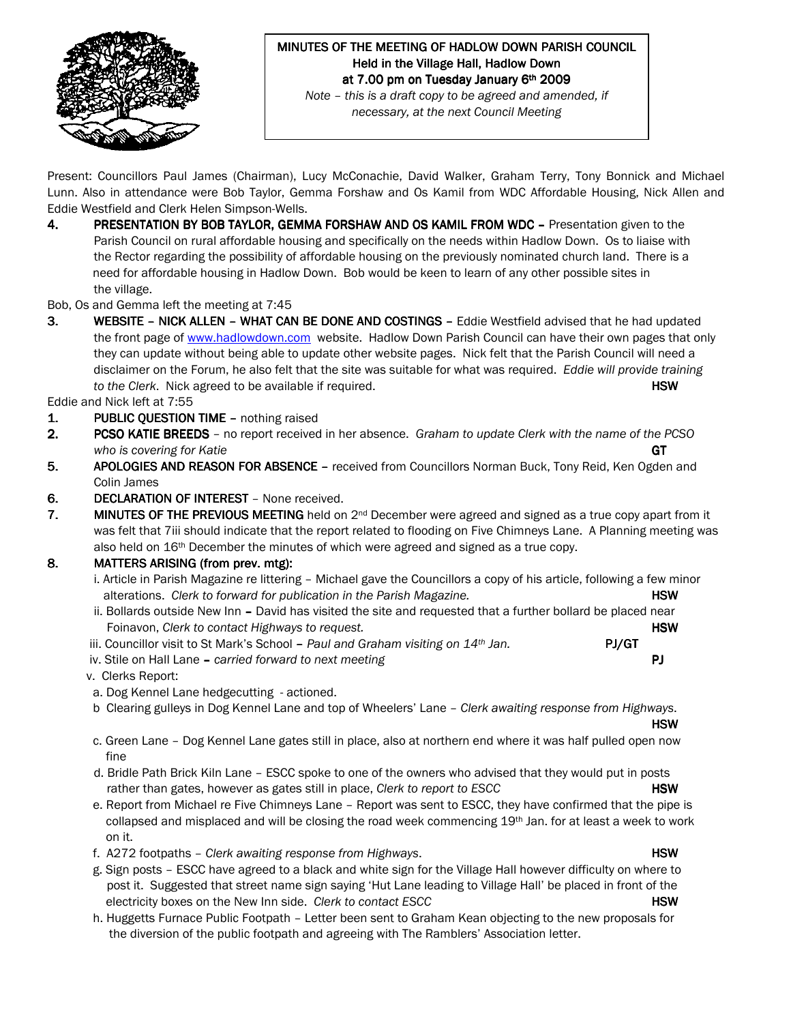

# MINUTES OF THE MEETING OF HADLOW DOWN PARISH COUNCIL Held in the Village Hall, Hadlow Down at 7.00 pm on Tuesday January 6th 2009

Note – this is a draft copy to be agreed and amended, if necessary, at the next Council Meeting

Present: Councillors Paul James (Chairman), Lucy McConachie, David Walker, Graham Terry, Tony Bonnick and Michael Lunn. Also in attendance were Bob Taylor, Gemma Forshaw and Os Kamil from WDC Affordable Housing, Nick Allen and Eddie Westfield and Clerk Helen Simpson-Wells.

4. PRESENTATION BY BOB TAYLOR, GEMMA FORSHAW AND OS KAMIL FROM WDC – Presentation given to the Parish Council on rural affordable housing and specifically on the needs within Hadlow Down. Os to liaise with the Rector regarding the possibility of affordable housing on the previously nominated church land. There is a need for affordable housing in Hadlow Down. Bob would be keen to learn of any other possible sites in the village.

Bob, Os and Gemma left the meeting at 7:45

3. WEBSITE – NICK ALLEN – WHAT CAN BE DONE AND COSTINGS – Eddie Westfield advised that he had updated the front page of www.hadlowdown.com website. Hadlow Down Parish Council can have their own pages that only they can update without being able to update other website pages. Nick felt that the Parish Council will need a disclaimer on the Forum, he also felt that the site was suitable for what was required. Eddie will provide training to the Clerk. Nick agreed to be available if required. **HSW** and the clerk of the clerk of the clerk of the state of the state of the state of the state of the state of the state of the state of the state of the state of t

Eddie and Nick left at 7:55

- 1. PUBLIC QUESTION TIME nothing raised
- 2. PCSO KATIE BREEDS no report received in her absence. Graham to update Clerk with the name of the PCSO who is covering for Katie GT
- 5. APOLOGIES AND REASON FOR ABSENCE received from Councillors Norman Buck, Tony Reid, Ken Ogden and Colin James
- 6. DECLARATION OF INTEREST None received.
- 7. MINUTES OF THE PREVIOUS MEETING held on  $2^{nd}$  December were agreed and signed as a true copy apart from it was felt that 7iii should indicate that the report related to flooding on Five Chimneys Lane. A Planning meeting was also held on 16<sup>th</sup> December the minutes of which were agreed and signed as a true copy.

# 8. MATTERS ARISING (from prev. mtg):

- i. Article in Parish Magazine re littering Michael gave the Councillors a copy of his article, following a few minor alterations. Clerk to forward for publication in the Parish Magazine. **HSW** HSW
- ii. Bollards outside New Inn David has visited the site and requested that a further bollard be placed near Foinavon, Clerk to contact Highways to request. The manufacture of the state of the HSW
- iii. Councillor visit to St Mark's School Paul and Graham visiting on  $14<sup>th</sup>$  Jan. **PJ/GT** iv. Stile on Hall Lane – carried forward to next meeting **PJ P**
- 

v. Clerks Report:

- a. Dog Kennel Lane hedgecutting actioned.
- b Clearing gulleys in Dog Kennel Lane and top of Wheelers' Lane Clerk awaiting response from Highways.

HSW in the control of the control of the control of the control of the control of the control of the control of c. Green Lane – Dog Kennel Lane gates still in place, also at northern end where it was half pulled open now fine

- d. Bridle Path Brick Kiln Lane ESCC spoke to one of the owners who advised that they would put in posts rather than gates, however as gates still in place, *Clerk to report to ESCC* **HSW**
- e. Report from Michael re Five Chimneys Lane Report was sent to ESCC, they have confirmed that the pipe is collapsed and misplaced and will be closing the road week commencing 19<sup>th</sup> Jan. for at least a week to work on it.
- f. A272 footpaths Clerk awaiting response from Highways. **HSW**
- g. Sign posts ESCC have agreed to a black and white sign for the Village Hall however difficulty on where to post it. Suggested that street name sign saying 'Hut Lane leading to Village Hall' be placed in front of the electricity boxes on the New Inn side. Clerk to contact ESCC **HSW** HSW
- h. Huggetts Furnace Public Footpath Letter been sent to Graham Kean objecting to the new proposals for the diversion of the public footpath and agreeing with The Ramblers' Association letter.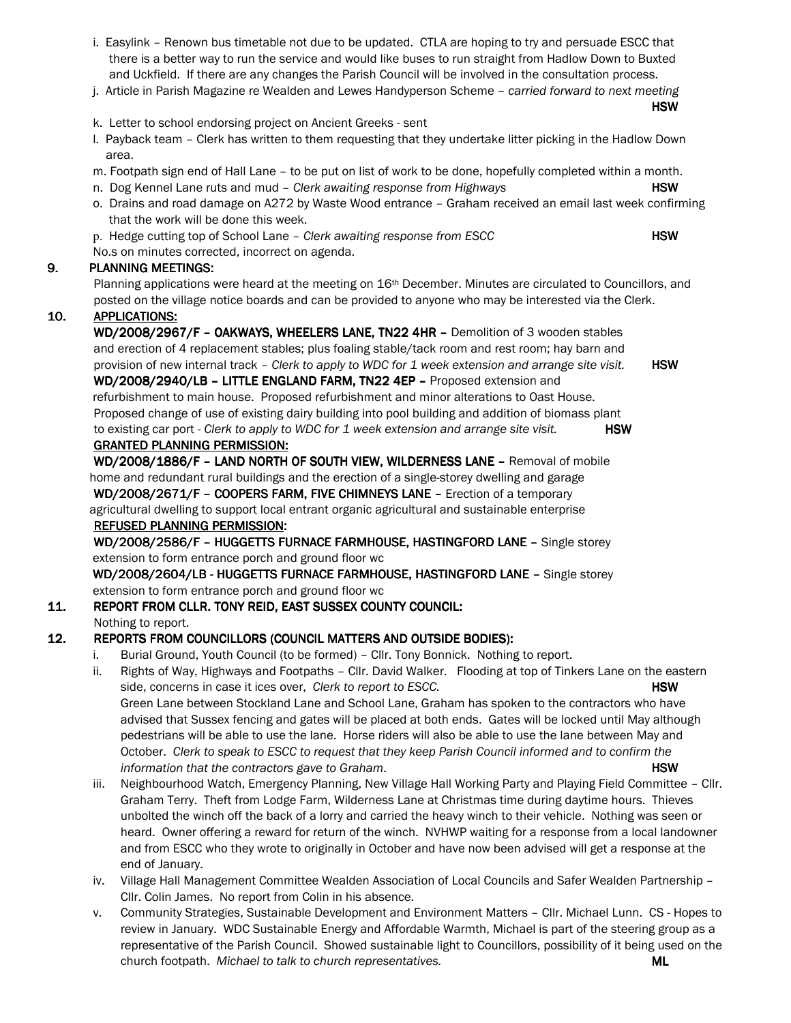- i. Easylink Renown bus timetable not due to be updated. CTLA are hoping to try and persuade ESCC that there is a better way to run the service and would like buses to run straight from Hadlow Down to Buxted and Uckfield. If there are any changes the Parish Council will be involved in the consultation process.
- j. Article in Parish Magazine re Wealden and Lewes Handyperson Scheme carried forward to next meeting HSW in the control of the control of the control of the control of the control of the control of the control of
- k. Letter to school endorsing project on Ancient Greeks sent
- l. Payback team Clerk has written to them requesting that they undertake litter picking in the Hadlow Down area.
- m. Footpath sign end of Hall Lane to be put on list of work to be done, hopefully completed within a month.
- n. Dog Kennel Lane ruts and mud Clerk awaiting response from Highways **HSW**
- o. Drains and road damage on A272 by Waste Wood entrance Graham received an email last week confirming that the work will be done this week.
- p. Hedge cutting top of School Lane Clerk awaiting response from ESCC HSW

No.s on minutes corrected, incorrect on agenda.

#### 9. PLANNING MEETINGS:

Planning applications were heard at the meeting on 16<sup>th</sup> December. Minutes are circulated to Councillors, and posted on the village notice boards and can be provided to anyone who may be interested via the Clerk.

#### 10. APPLICATIONS:

WD/2008/2967/F - OAKWAYS, WHEELERS LANE, TN22 4HR - Demolition of 3 wooden stables and erection of 4 replacement stables; plus foaling stable/tack room and rest room; hay barn and provision of new internal track – Clerk to apply to WDC for 1 week extension and arrange site visit.  $HSW$ WD/2008/2940/LB - LITTLE ENGLAND FARM, TN22 4EP - Proposed extension and refurbishment to main house. Proposed refurbishment and minor alterations to Oast House. Proposed change of use of existing dairy building into pool building and addition of biomass plant to existing car port - Clerk to apply to WDC for 1 week extension and arrange site visit.  $HSW$ GRANTED PLANNING PERMISSION:

WD/2008/1886/F - LAND NORTH OF SOUTH VIEW, WILDERNESS LANE - Removal of mobile home and redundant rural buildings and the erection of a single-storey dwelling and garage WD/2008/2671/F - COOPERS FARM, FIVE CHIMNEYS LANE - Erection of a temporary agricultural dwelling to support local entrant organic agricultural and sustainable enterprise REFUSED PLANNING PERMISSION:

# WD/2008/2586/F - HUGGETTS FURNACE FARMHOUSE, HASTINGFORD LANE - Single storey extension to form entrance porch and ground floor wc

WD/2008/2604/LB - HUGGETTS FURNACE FARMHOUSE, HASTINGFORD LANE - Single storey extension to form entrance porch and ground floor wc

#### 11. REPORT FROM CLLR. TONY REID, EAST SUSSEX COUNTY COUNCIL: Nothing to report.

# 12. REPORTS FROM COUNCILLORS (COUNCIL MATTERS AND OUTSIDE BODIES):

- i. Burial Ground, Youth Council (to be formed) Cllr. Tony Bonnick. Nothing to report.
	- ii. Rights of Way, Highways and Footpaths Cllr. David Walker. Flooding at top of Tinkers Lane on the eastern side, concerns in case it ices over, Clerk to report to ESCC. However, the state of the HSW Green Lane between Stockland Lane and School Lane, Graham has spoken to the contractors who have advised that Sussex fencing and gates will be placed at both ends. Gates will be locked until May although pedestrians will be able to use the lane. Horse riders will also be able to use the lane between May and October. Clerk to speak to ESCC to request that they keep Parish Council informed and to confirm the information that the contractors gave to Graham. The settlement of the settlement of the settlement of the set
	- iii. Neighbourhood Watch, Emergency Planning, New Village Hall Working Party and Playing Field Committee Cllr. Graham Terry. Theft from Lodge Farm, Wilderness Lane at Christmas time during daytime hours. Thieves unbolted the winch off the back of a lorry and carried the heavy winch to their vehicle. Nothing was seen or heard. Owner offering a reward for return of the winch. NVHWP waiting for a response from a local landowner and from ESCC who they wrote to originally in October and have now been advised will get a response at the end of January.
	- iv. Village Hall Management Committee Wealden Association of Local Councils and Safer Wealden Partnership Cllr. Colin James. No report from Colin in his absence.
	- v. Community Strategies, Sustainable Development and Environment Matters Cllr. Michael Lunn. CS Hopes to review in January. WDC Sustainable Energy and Affordable Warmth, Michael is part of the steering group as a representative of the Parish Council. Showed sustainable light to Councillors, possibility of it being used on the church footpath. Michael to talk to church representatives.  $ML$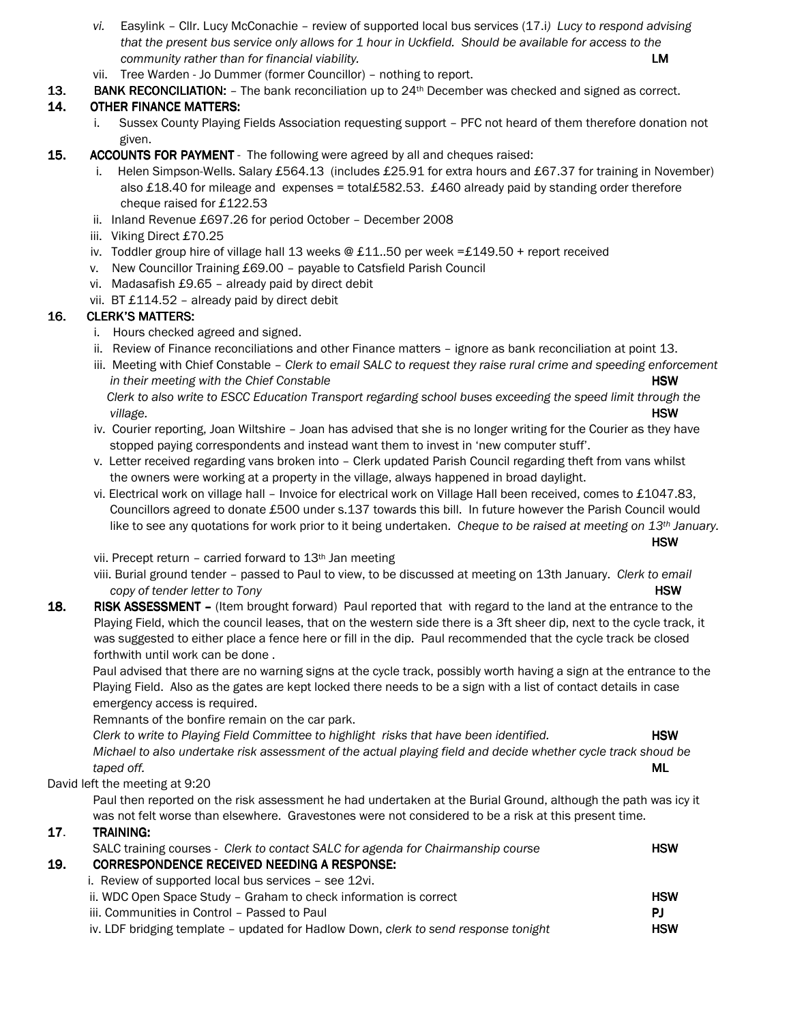- vi. Easylink Cllr. Lucy McConachie review of supported local bus services (17.i) Lucy to respond advising that the present bus service only allows for 1 hour in Uckfield. Should be available for access to the community rather than for financial viability. The community rather than  $LM$
- vii. Tree Warden Jo Dummer (former Councillor) nothing to report.
- **13.** BANK RECONCILIATION:  $-$  The bank reconciliation up to  $24<sup>th</sup>$  December was checked and signed as correct.

# 14. OTHER FINANCE MATTERS:

- Sussex County Playing Fields Association requesting support PFC not heard of them therefore donation not given.
- 15. ACCOUNTS FOR PAYMENT The following were agreed by all and cheques raised:
	- i. Helen Simpson-Wells. Salary £564.13 (includes £25.91 for extra hours and £67.37 for training in November) also £18.40 for mileage and expenses = total£582.53. £460 already paid by standing order therefore cheque raised for £122.53
	- ii. Inland Revenue £697.26 for period October December 2008
	- iii. Viking Direct £70.25
	- iv. Toddler group hire of village hall 13 weeks @ £11..50 per week =£149.50 + report received
	- v. New Councillor Training £69.00 payable to Catsfield Parish Council
	- vi. Madasafish £9.65 already paid by direct debit
	- vii. BT £114.52 already paid by direct debit

# 16. CLERK'S MATTERS:

- i. Hours checked agreed and signed.
- ii. Review of Finance reconciliations and other Finance matters ignore as bank reconciliation at point 13.
- iii. Meeting with Chief Constable Clerk to email SALC to request they raise rural crime and speeding enforcement in their meeting with the Chief Constable **HSW** and the HSW **HSW** Clerk to also write to ESCC Education Transport regarding school buses exceeding the speed limit through the
- village. HSW iv. Courier reporting, Joan Wiltshire – Joan has advised that she is no longer writing for the Courier as they have stopped paying correspondents and instead want them to invest in 'new computer stuff'.
- v. Letter received regarding vans broken into Clerk updated Parish Council regarding theft from vans whilst the owners were working at a property in the village, always happened in broad daylight.
- vi. Electrical work on village hall Invoice for electrical work on Village Hall been received, comes to £1047.83, Councillors agreed to donate £500 under s.137 towards this bill. In future however the Parish Council would like to see any quotations for work prior to it being undertaken. Cheque to be raised at meeting on  $13<sup>th</sup>$  January.

HSW in the control of the control of the control of the control of the control of the control of the control of

vii. Precept return – carried forward to 13th Jan meeting

viii. Burial ground tender – passed to Paul to view, to be discussed at meeting on 13th January. Clerk to email copy of tender letter to Tony **HSW** 

18. RISK ASSESSMENT – (Item brought forward) Paul reported that with regard to the land at the entrance to the Playing Field, which the council leases, that on the western side there is a 3ft sheer dip, next to the cycle track, it was suggested to either place a fence here or fill in the dip. Paul recommended that the cycle track be closed forthwith until work can be done .

Paul advised that there are no warning signs at the cycle track, possibly worth having a sign at the entrance to the Playing Field. Also as the gates are kept locked there needs to be a sign with a list of contact details in case emergency access is required.

Remnants of the bonfire remain on the car park.

Clerk to write to Playing Field Committee to highlight risks that have been identified. **HSW**  Michael to also undertake risk assessment of the actual playing field and decide whether cycle track shoud be taped off. **ML** 

# David left the meeting at 9:20

 Paul then reported on the risk assessment he had undertaken at the Burial Ground, although the path was icy it was not felt worse than elsewhere. Gravestones were not considered to be a risk at this present time.

# 17. TRAINING:

|     | SALC training courses - Clerk to contact SALC for agenda for Chairmanship course    | <b>HSW</b> |
|-----|-------------------------------------------------------------------------------------|------------|
| 19. | <b>CORRESPONDENCE RECEIVED NEEDING A RESPONSE:</b>                                  |            |
|     | i. Review of supported local bus services – see 12vi.                               |            |
|     | ii. WDC Open Space Study - Graham to check information is correct                   | <b>HSW</b> |
|     | iii. Communities in Control - Passed to Paul                                        | PJ.        |
|     | iv. LDF bridging template - updated for Hadlow Down, clerk to send response tonight | <b>HSW</b> |